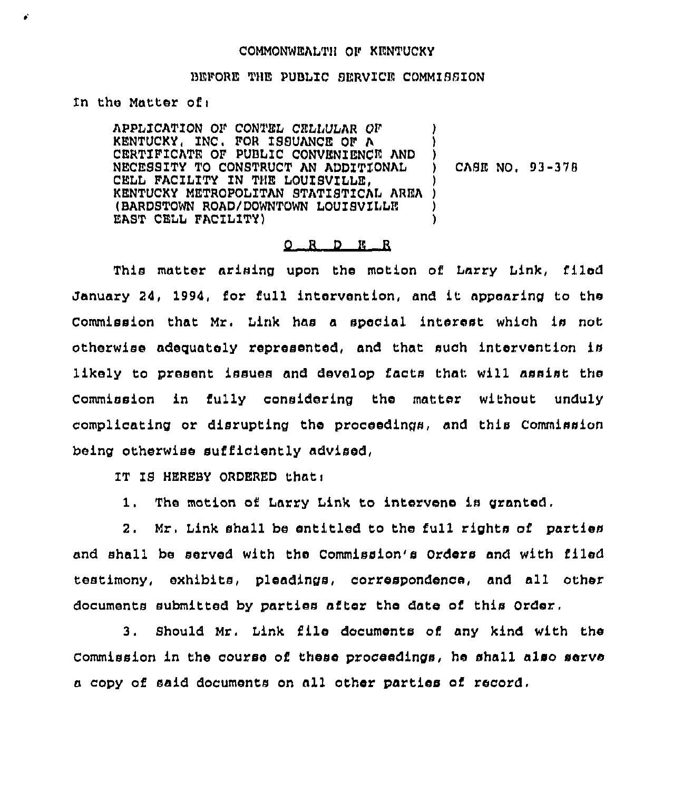## COMMONWEALTH QF KENTUCKY

## )3EFORE THE PUBLIC SERVICE COMMIBBXON

In the Matter ofi

APPLICATION OF CONTEL CELLULAR OF KENTUCKY, INC. FOR ISSUANCE OF A CERTIFICATE OF PUBLIC CONVENIENCE AND NECESSITY TQ CONSTRUCT AN ADDITIONAL CELL FACILITY IN THE LOUISVILLE, KENTUCKY METROPOLITAN STATISTICAL AREA ) (BARDSTOWN ROAD/DOWNTOWN LOUISVILLE EAST CELL FACILITY) 1 )  $\lambda$ ) CASE NO. 93-370 ) ) )

## $O$  R  $D$  E R

This matter axising upon the motion of Larry Link, filed January 24, 1994, fox full intervention, and it appearing to the Commission that Mr. Link has a special interest which is not otherwise adequately represented, and that such intervention is likely to present issues and develop facts that will assist the Commission in fully considering the matter without unduly complicating ox disrupting the proceedings, and this Commission being otherwise sufficiently advised,

IT IS HEREBY ORDERED that:

1. The motion of Larry Link to intervene is granted.

2. Mr, Link shall be entitled to the full rights of parties and shall be served with the Commission's Orders and with filed testimony, exhibits, pleadings, correspondence, and all submitted by parties after the date of this Order,

3. Should Mr. Link file documents of any kind with the Commission in the course of these proceedings, he shall also serve a copy of said documents on all other parties of record.